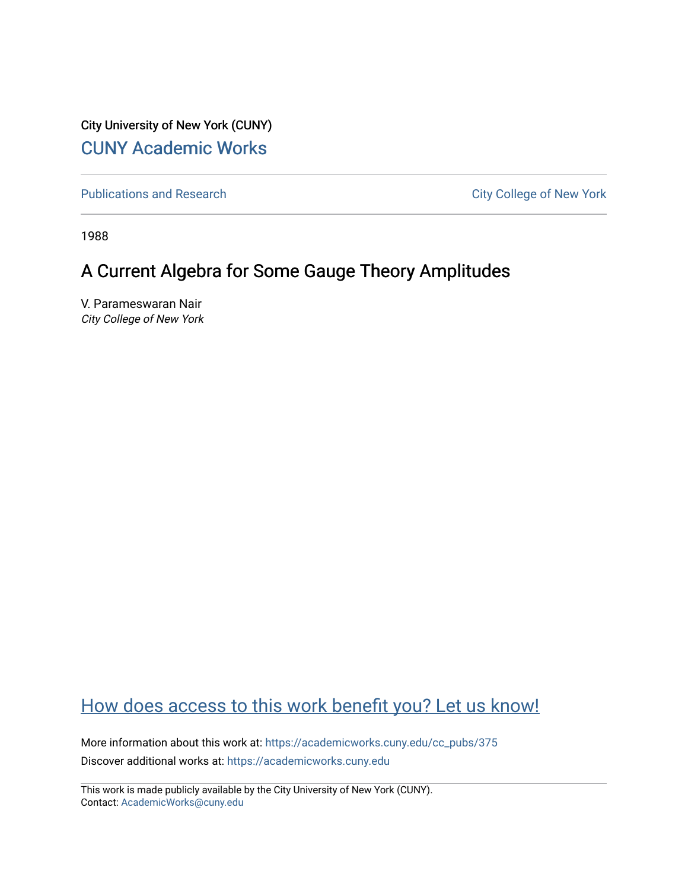City University of New York (CUNY) [CUNY Academic Works](https://academicworks.cuny.edu/) 

[Publications and Research](https://academicworks.cuny.edu/cc_pubs) **City College of New York** Publications and Research

1988

# A Current Algebra for Some Gauge Theory Amplitudes

V. Parameswaran Nair City College of New York

## [How does access to this work benefit you? Let us know!](http://ols.cuny.edu/academicworks/?ref=https://academicworks.cuny.edu/cc_pubs/375)

More information about this work at: [https://academicworks.cuny.edu/cc\\_pubs/375](https://academicworks.cuny.edu/cc_pubs/375)  Discover additional works at: [https://academicworks.cuny.edu](https://academicworks.cuny.edu/?)

This work is made publicly available by the City University of New York (CUNY). Contact: [AcademicWorks@cuny.edu](mailto:AcademicWorks@cuny.edu)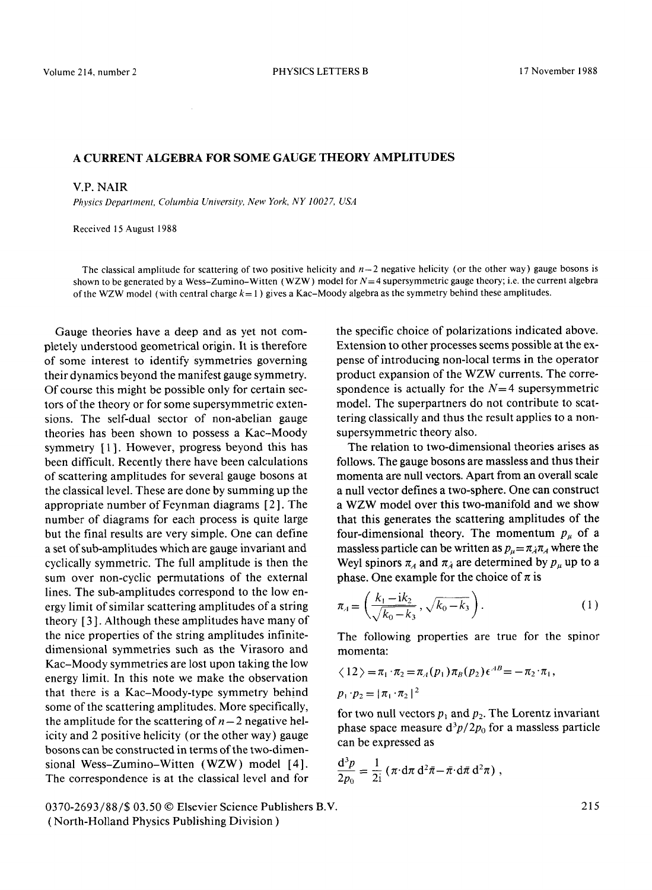### **A CURRENT ALGEBRA FOR SOME GAUGE THEORY AMPLITUDES**

#### V.P. NAIR

*Physics Department, Columbia University, New York, NY 10027, USA* 

Received 15 August 1988

The classical amplitude for scattering of two positive helicity and  $n-2$  negative helicity (or the other way) gauge bosons is shown to be generated by a Wess-Zumino-Witten (WZW) model for  $N=4$  supersymmetric gauge theory; i.e. the current algebra of the WZW model (with central charge  $k = 1$ ) gives a Kac-Moody algebra as the symmetry behind these amplitudes.

Gauge theories have a deep and as yet not completely understood geometrical origin. It is therefore of some interest to identify symmetries governing their dynamics beyond the manifest gauge symmetry. Of course this might be possible only for certain sectors of the theory or for some supersymmetric extensions. The self-dual sector of non-abelian gauge theories has been shown to possess a Kac-Moody symmetry [1]. However, progress beyond this has been difficult. Recently there have been calculations of scattering amplitudes for several gauge bosons at the classical level. These are done by summing up the appropriate number of Feynman diagrams [ 2 ]. The number of diagrams for each process is quite large but the final results are very simple. One can define a set of sub-amplitudes which are gauge invariant and cyclically symmetric. The full amplitude is then the sum over non-cyclic permutations of the external lines. The sub-amplitudes correspond to the low energy limit of similar scattering amplitudes of a string theory [ 3 ]. Although these amplitudes have many of the nice properties of the string amplitudes infinitedimensional symmetries such as the Virasoro and Kac-Moody symmetries are lost upon taking the low energy limit. In this note we make the observation that there is a Kac-Moody-type symmetry behind some of the scattering amplitudes. More specifically, the amplitude for the scattering of  $n-2$  negative helicity and 2 positive helicity (or the other way) gauge bosons can be constructed in terms of the two-dimensional Wess-Zumino-Witten (WZW) model [4]. The correspondence is at the classical level and for

0370-2693/88/\$ 03.50 © Elsevier Science Publishers B.V. ( North-Holland Physics Publishing Division )

the specific choice of polarizations indicated above. Extension to other processes seems possible at the expense of introducing non-local terms in the operator product expansion of the WZW currents. The correspondence is actually for the  $N=4$  supersymmetric model. The superpartners do not contribute to scattering classically and thus the result applies to a nonsupersymmetrie theory also.

The relation to two-dimensional theories arises as follows. The gauge bosons are massless and thus their momenta are null vectors. Apart from an overall scale a null vector defines a two-sphere. One can construct a WZW model over this two-manifold and we show that this generates the scattering amplitudes of the four-dimensional theory. The momentum  $p_{\mu}$  of a massless particle can be written as  $p_{\mu} = \pi_{\lambda} \pi_{A}$  where the Weyl spinors  $\pi_A$  and  $\pi_A$  are determined by  $p_u$  up to a phase. One example for the choice of  $\pi$  is

$$
\pi_A = \left(\frac{k_1 - ik_2}{\sqrt{k_0 - k_3}}, \sqrt{k_0 - k_3}\right). \tag{1}
$$

The following properties are true for the spinor momenta:

$$
\langle 12 \rangle = \pi_1 \cdot \pi_2 = \pi_A(p_1) \pi_B(p_2) \epsilon^{AB} = - \pi_2 \cdot \pi_1,
$$
  

$$
p_1 \cdot p_2 = |\pi_1 \cdot \pi_2|^2
$$

for two null vectors  $p_1$  and  $p_2$ . The Lorentz invariant phase space measure  $d^3p/2p_0$  for a massless particle can be expressed as

$$
\frac{\mathrm{d}^3 p}{2p_0} = \frac{1}{2\mathrm{i}} \left( \pi \cdot \mathrm{d}\pi \, \mathrm{d}^2 \bar{\pi} - \bar{\pi} \cdot \mathrm{d}\bar{\pi} \, \mathrm{d}^2 \pi \right) \,,
$$

215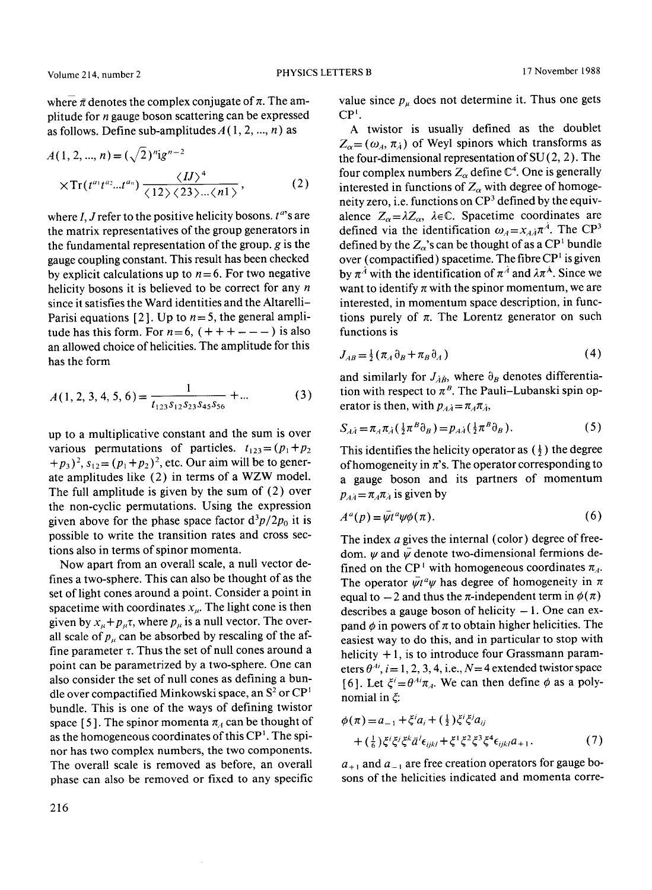where  $\bar{\pi}$  denotes the complex conjugate of  $\pi$ . The amplitude for  $n$  gauge boson scattering can be expressed as follows. Define sub-amplitudes  $A(1, 2, ..., n)$  as

$$
A(1, 2, ..., n) = (\sqrt{2})^n 1g^{n-2}
$$
  
 
$$
\times \text{Tr}(t^{a_1} t^{a_2} ... t^{a_n}) \frac{\langle I J \rangle^4}{\langle 12 \rangle \langle 23 \rangle ... \langle n1 \rangle},
$$
 (2)

where I, J refer to the positive helicity bosons.  $t^a$ 's are the matrix representatives of the group generators in the fundamental representation of the group,  $g$  is the gauge coupling constant. This result has been checked by explicit calculations up to  $n = 6$ . For two negative helicity bosons it is believed to be correct for any  $n$ since it satisfies the Ward identities and the Altarelli-Parisi equations [2]. Up to  $n = 5$ , the general amplitude has this form. For  $n=6$ ,  $(+++---)$  is also an allowed choice of helicities. The amplitude for this has the form

$$
A(1, 2, 3, 4, 5, 6) = \frac{1}{t_{123}s_{12}s_{23}s_{45}s_{56}} + ...
$$
 (3)

up to a multiplicative constant and the sum is over various permutations of particles,  $t_{123} = (p_1 + p_2)$  $+p_3$ )<sup>2</sup>,  $s_{12}=(p_1+p_2)^2$ , etc. Our aim will be to generate amplitudes like (2) in terms of a WZW model. The full amplitude is given by the sum of (2) over the non-cyclic permutations. Using the expression given above for the phase space factor  $d^3p/2p_0$  it is possible to write the transition rates and cross sections also in terms of spinor momenta.

Now apart from an overall scale, a null vector defines a two-sphere. This can also be thought of as the set of light cones around a point. Consider a point in spacetime with coordinates  $x_{\mu}$ . The light cone is then given by  $x_n + p_n\tau$ , where  $p_n$  is a null vector. The overall scale *of p,,* can be absorbed by rescaling of the affine parameter  $\tau$ . Thus the set of null cones around a point can be parametrized by a two-sphere. One can also consider the set of null cones as defining a bundle over compactified Minkowski space, an  $S^2$  or  $\mathbb{C}P^1$ bundle. This is one of the ways of defining twistor space [5]. The spinor momenta  $\pi_4$  can be thought of as the homogeneous coordinates of this  $\mathbb{CP}^1$ . The spinor has two complex numbers, the two components. The overall scale is removed as before, an overall phase can also be removed or fixed to any specific value since  $p_{\mu}$  does not determine it. Thus one gets  $CP<sup>T</sup>$ .

A twistor is usually defined as the doublet  $Z_{\alpha} = (\omega_A, \pi_A)$  of Weyl spinors which transforms as the four-dimensional representation of  $SU(2, 2)$ . The four complex numbers  $Z_{\alpha}$  define  $\mathbb{C}^{4}$ . One is generally interested in functions of  $Z_{\alpha}$  with degree of homogeneity zero, i.e. functions on  $\mathbb{CP}^3$  defined by the equivalence  $Z_{\alpha} = \lambda Z_{\alpha}$ ,  $\lambda \in \mathbb{C}$ . Spacetime coordinates are defined via the identification  $\omega_A = x_{A} \pi^A$ . The CP<sup>3</sup> defined by the  $Z_{\alpha}$ 's can be thought of as a CP<sup>1</sup> bundle over (compactified) spacetime. The fibre  $\mathbb{CP}^1$  is given by  $\pi^{\hat{A}}$  with the identification of  $\pi^{\hat{A}}$  and  $\lambda \pi^{\hat{A}}$ . Since we want to identify  $\pi$  with the spinor momentum, we are interested, in momentum space description, in functions purely of  $\pi$ . The Lorentz generator on such functions is

$$
J_{AB} = \frac{1}{2} \left( \pi_A \partial_B + \pi_B \partial_A \right) \tag{4}
$$

and similarly for  $J_{\dot{A}\dot{B}}$ , where  $\partial_B$  denotes differentiation with respect to  $\pi^B$ . The Pauli-Lubanski spin operator is then, with  $p_{A\dot{A}} = \pi_A \pi_{\dot{A}}$ ,

$$
S_{\mathcal{A}\dot{A}} = \pi_A \pi_{\dot{A}} \left( \frac{1}{2} \pi^B \partial_B \right) = p_{\mathcal{A}\dot{A}} \left( \frac{1}{2} \pi^B \partial_B \right). \tag{5}
$$

This identifies the helicity operator as  $(\frac{1}{2})$  the degree of homogeneity in  $\pi$ 's. The operator corresponding to a gauge boson and its partners of momentum  $p_{A_4} = \pi_4 \pi_4$  is given by

$$
A^a(p) = \bar{\psi}t^a\psi\phi(\pi). \tag{6}
$$

The index  $\alpha$  gives the internal (color) degree of freedom.  $\psi$  and  $\bar{\psi}$  denote two-dimensional fermions defined on the CP<sup>+</sup> with homogeneous coordinates  $\pi_A$ . The operator  $\bar{\psi}t^a\psi$  has degree of homogeneity in  $\pi$ equal to  $-2$  and thus the  $\pi$ -independent term in  $\phi(\pi)$ describes a gauge boson of helicity  $-1$ . One can expand  $\phi$  in powers of  $\pi$  to obtain higher helicities. The easiest way to do this, and in particular to stop with helicity  $+1$ , is to introduce four Grassmann parameters  $\theta^{Ai}$ ,  $i=1, 2, 3, 4$ , i.e.,  $N=4$  extended twistor space [6]. Let  $\xi' = \theta^{Ai}\pi_A$ . We can then define  $\phi$  as a polynomial in  $\xi$ :

$$
\phi(\pi) = a_{-1} + \xi^i a_i + (\frac{1}{2}) \xi^i \xi^j a_{ij} + (\frac{1}{6}) \xi^i \xi^j \xi^k \bar{a}^l \epsilon_{ijkl} + \xi^l \xi^2 \xi^3 \xi^4 \epsilon_{ijkl} a_{+1}.
$$
 (7)

 $a_{+1}$  and  $a_{-1}$  are free creation operators for gauge bosons of the helicities indicated and momenta corre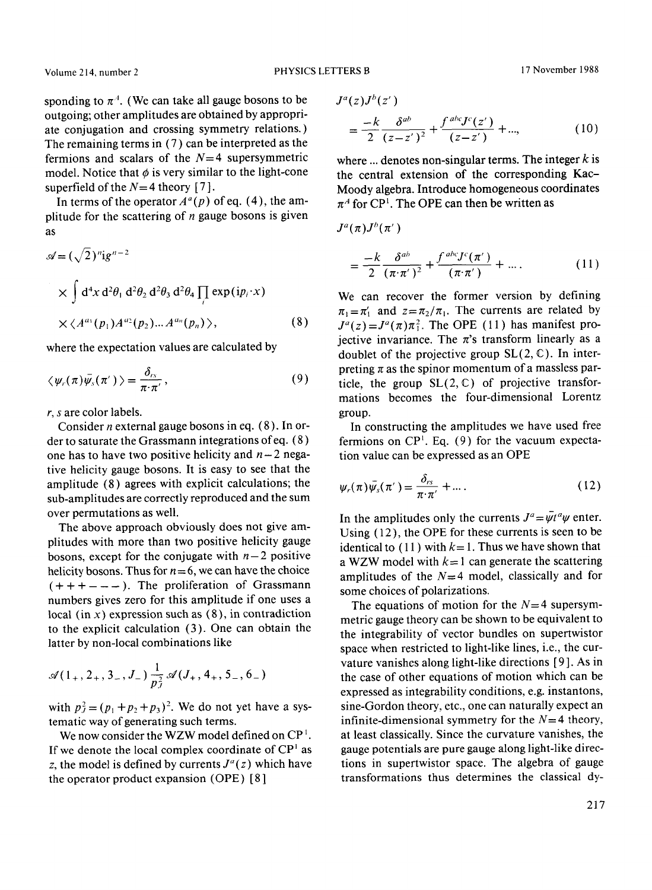sponding to  $\pi^A$ . (We can take all gauge bosons to be outgoing; other amplitudes are obtained by appropriate conjugation and crossing symmetry relations.) The remaining terms in (7) can be interpreted as the fermions and scalars of the  $N=4$  supersymmetric model. Notice that  $\phi$  is very similar to the light-cone superfield of the  $N=4$  theory [7].

In terms of the operator  $A^a(p)$  of eq. (4), the amplitude for the scattering of  $n$  gauge bosons is given as

$$
\mathscr{A} = (\sqrt{2})^n ig^{n-2}
$$
  
\n
$$
\times \int d^4 x \, d^2 \theta_1 \, d^2 \theta_2 \, d^2 \theta_3 \, d^2 \theta_4 \prod_i \exp(ip_i \cdot x)
$$
  
\n
$$
\times \langle A^{a_1}(p_1) A^{a_2}(p_2) ... A^{a_n}(p_n) \rangle,
$$
\n(8)

where the expectation values are calculated by

$$
\langle \psi_r(\pi) \bar{\psi}_s(\pi') \rangle = \frac{\delta_{rs}}{\pi \cdot \pi'}, \qquad (9)
$$

r, s are color labels.

Consider *n* external gauge bosons in eq.  $(8)$ . In order to saturate the Grassmann integrations ofeq. (8) one has to have two positive helicity and  $n-2$  negative helicity gauge bosons. It is easy to see that the amplitude (8) agrees with explicit calculations; the sub-amplitudes are correctly reproduced and the sum over permutations as well.

The above approach obviously does not give amplitudes with more than two positive helicity gauge bosons, except for the conjugate with  $n-2$  positive helicity bosons. Thus for  $n = 6$ , we can have the choice  $(+ + + - - -)$ . The proliferation of Grassmann numbers gives zero for this amplitude if one uses a local (in  $x$ ) expression such as  $(8)$ , in contradiction to the explicit calculation (3). One can obtain the latter by non-local combinations like

$$
\mathscr{A}(1_+, 2_+, 3_-, J_-) \frac{1}{p_J^2} \mathscr{A}(J_+, 4_+, 5_-, 6_-)
$$

with  $p_j^2 = (p_1 + p_2 + p_3)^2$ . We do not yet have a systematic way of generating such terms.

We now consider the WZW model defined on  $\mathbb{CP}^1$ . If we denote the local complex coordinate of  $\mathbb{CP}^1$  as z, the model is defined by currents  $J^a(z)$  which have the operator product expansion (OPE) [ 8 ]

$$
J^{a}(z)J^{b}(z')
$$
  
=  $\frac{-k}{2} \frac{\delta^{ab}}{(z-z')}^{2} + \frac{f^{abc}J^{c}(z')}{(z-z')} + ...,$  (10)

where ... denotes non-singular terms. The integer  $k$  is the central extension of the corresponding Kac-Moody algebra. Introduce homogeneous coordinates  $\pi^A$  for CP<sup>1</sup>. The OPE can then be written as

 $J^a(\pi)J^b(\pi')$ 

$$
=\frac{-k}{2}\frac{\delta^{ab}}{(\pi\cdot\pi^{\prime})^2}+\frac{f^{abc}J^c(\pi^{\prime})}{(\pi\cdot\pi^{\prime})}+\dots.
$$
 (11)

We can recover the former version by defining  $\pi_1 = \pi'_1$  and  $z = \pi_2/\pi_1$ . The currents are related by  $J^a(z) = J^a(\pi) \pi_1^2$ . The OPE (11) has manifest projective invariance. The  $\pi$ 's transform linearly as a doublet of the projective group  $SL(2, \mathbb{C})$ . In interpreting  $\pi$  as the spinor momentum of a massless particle, the group  $SL(2, \mathbb{C})$  of projective transformations becomes the four-dimensional Lorentz group.

In constructing the amplitudes we have used free fermions on  $\mathbb{CP}^1$ . Eq. (9) for the vacuum expectation value can be expressed as an OPE

$$
\psi_r(\pi)\bar{\psi_s}(\pi') = \frac{\delta_{rs}}{\pi \cdot \pi'} + \dots \tag{12}
$$

In the amplitudes only the currents  $J^a = \bar{\psi} t^a \psi$  enter. Using (12), the OPE for these currents is seen to be identical to (11) with  $k=1$ . Thus we have shown that a WZW model with  $k=1$  can generate the scattering amplitudes of the  $N=4$  model, classically and for some choices of polarizations.

The equations of motion for the  $N=4$  supersymmetric gauge theory can be shown to be equivalent to the integrability of vector bundles on supertwistor space when restricted to light-like lines, i.e., the curvature vanishes along light-like directions [ 9 ]. As in the case of other equations of motion which can be expressed as integrability conditions, e.g. instantons, sine-Gordon theory, etc., one can naturally expect an infinite-dimensional symmetry for the  $N=4$  theory, at least classically. Since the curvature vanishes, the gauge potentials are pure gauge along light-like directions in supertwistor space. The algebra of gauge transformations thus determines the classical dy